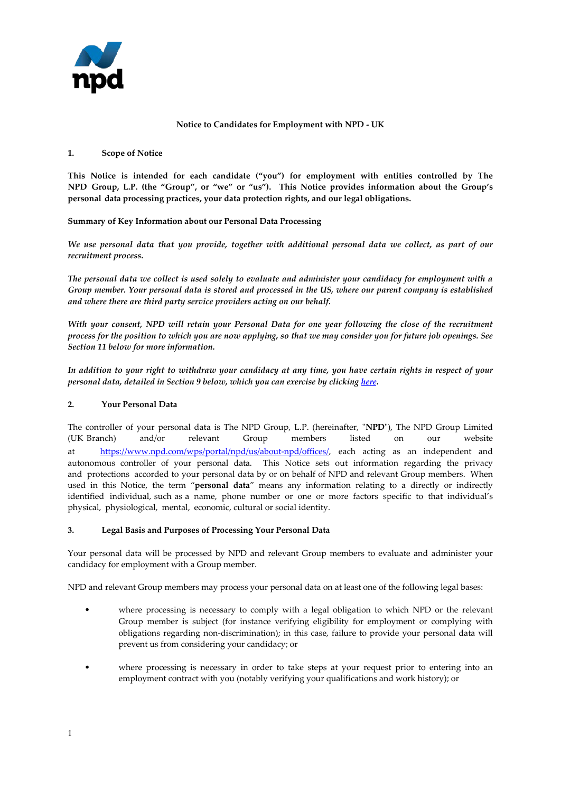

### **Notice to Candidates for Employment with NPD - UK**

### **1. Scope of Notice**

**This Notice is intended for each candidate ("you") for employment with entities controlled by The NPD Group, L.P. (the "Group", or "we" or "us"). This Notice provides information about the Group's personal data processing practices, your data protection rights, and our legal obligations.** 

**Summary of Key Information about our Personal Data Processing**

*We use personal data that you provide, together with additional personal data we collect, as part of our recruitment process.*

*The personal data we collect is used solely to evaluate and administer your candidacy for employment with a Group member. Your personal data is stored and processed in the US, where our parent company is established and where there are third party service providers acting on our behalf.* 

*With your consent, NPD will retain your Personal Data for one year following the close of the recruitment process for the position to which you are now applying, so that we may consider you for future job openings. See Section 11 below for more information.*

*In addition to your right to withdraw your candidacy at any time, you have certain rights in respect of your personal data, detailed in Section 9 below, which you can exercise by clicking [here.](https://app.onetrust.com/app/#/webform/71677411-5204-418a-86b4-f949b0009a0c)*

## **2. Your Personal Data**

The controller of your personal data is The NPD Group, L.P. (hereinafter, "**NPD**"), The NPD Group Limited (UK Branch) and/or relevant Group members listed on our website [at https://www.npd.com/wps/portal/npd/us/about-npd](https://www.npd.com/wps/portal/npd/us/about-npd/offices/)/offices/, each acting as an independent and autonomous controller of your personal data. This Notice sets out information regarding the privacy and protections accorded to your personal data by or on behalf of NPD and relevant Group members. When used in this Notice, the term "**personal data**" means any information relating to a directly or indirectly identified individual, such as a name, phone number or one or more factors specific to that individual's physical, physiological, mental, economic, cultural or social identity.

## **3. Legal Basis and Purposes of Processing Your Personal Data**

Your personal data will be processed by NPD and relevant Group members to evaluate and administer your candidacy for employment with a Group member.

NPD and relevant Group members may process your personal data on at least one of the following legal bases:

- where processing is necessary to comply with a legal obligation to which NPD or the relevant Group member is subject (for instance verifying eligibility for employment or complying with obligations regarding non-discrimination); in this case, failure to provide your personal data will prevent us from considering your candidacy; or
- where processing is necessary in order to take steps at your request prior to entering into an employment contract with you (notably verifying your qualifications and work history); or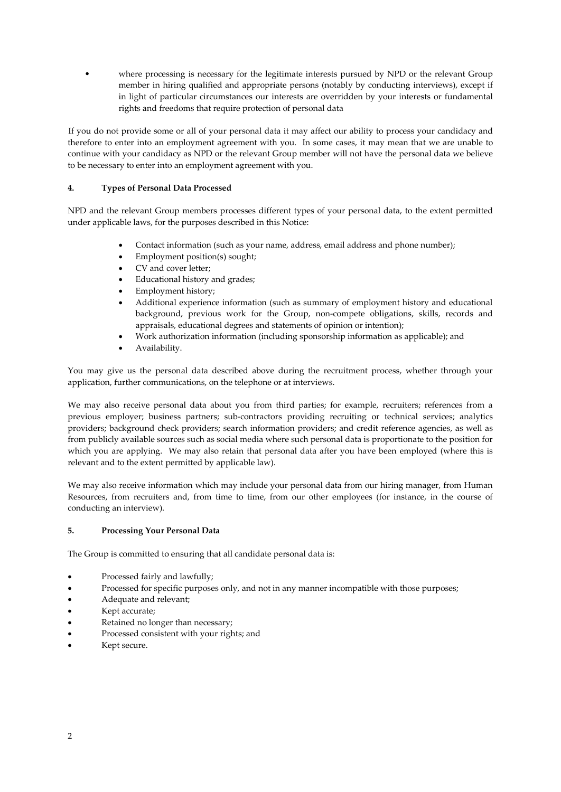• where processing is necessary for the legitimate interests pursued by NPD or the relevant Group member in hiring qualified and appropriate persons (notably by conducting interviews), except if in light of particular circumstances our interests are overridden by your interests or fundamental rights and freedoms that require protection of personal data

If you do not provide some or all of your personal data it may affect our ability to process your candidacy and therefore to enter into an employment agreement with you. In some cases, it may mean that we are unable to continue with your candidacy as NPD or the relevant Group member will not have the personal data we believe to be necessary to enter into an employment agreement with you.

# **4. Types of Personal Data Processed**

NPD and the relevant Group members processes different types of your personal data, to the extent permitted under applicable laws, for the purposes described in this Notice:

- Contact information (such as your name, address, email address and phone number);
- Employment position(s) sought;
- CV and cover letter;
- Educational history and grades;
- Employment history;
- Additional experience information (such as summary of employment history and educational background, previous work for the Group, non-compete obligations, skills, records and appraisals, educational degrees and statements of opinion or intention);
- Work authorization information (including sponsorship information as applicable); and
- Availability.

You may give us the personal data described above during the recruitment process, whether through your application, further communications, on the telephone or at interviews.

We may also receive personal data about you from third parties; for example, recruiters; references from a previous employer; business partners; sub-contractors providing recruiting or technical services; analytics providers; background check providers; search information providers; and credit reference agencies, as well as from publicly available sources such as social media where such personal data is proportionate to the position for which you are applying. We may also retain that personal data after you have been employed (where this is relevant and to the extent permitted by applicable law).

We may also receive information which may include your personal data from our hiring manager, from Human Resources, from recruiters and, from time to time, from our other employees (for instance, in the course of conducting an interview).

## **5. Processing Your Personal Data**

The Group is committed to ensuring that all candidate personal data is:

- Processed fairly and lawfully;
- Processed for specific purposes only, and not in any manner incompatible with those purposes;
- Adequate and relevant;
- Kept accurate;
- Retained no longer than necessary;
- Processed consistent with your rights; and
- Kept secure.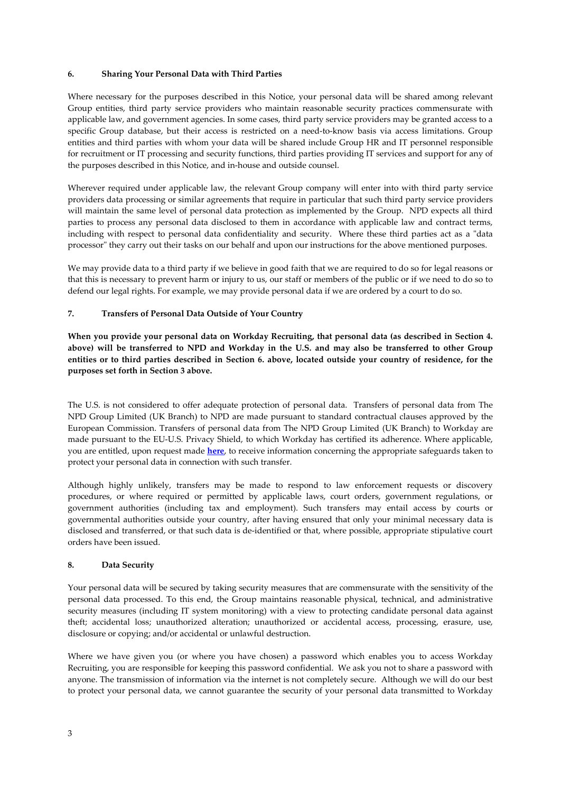## **6. Sharing Your Personal Data with Third Parties**

Where necessary for the purposes described in this Notice, your personal data will be shared among relevant Group entities, third party service providers who maintain reasonable security practices commensurate with applicable law, and government agencies. In some cases, third party service providers may be granted access to a specific Group database, but their access is restricted on a need-to-know basis via access limitations. Group entities and third parties with whom your data will be shared include Group HR and IT personnel responsible for recruitment or IT processing and security functions, third parties providing IT services and support for any of the purposes described in this Notice, and in-house and outside counsel.

Wherever required under applicable law, the relevant Group company will enter into with third party service providers data processing or similar agreements that require in particular that such third party service providers will maintain the same level of personal data protection as implemented by the Group. NPD expects all third parties to process any personal data disclosed to them in accordance with applicable law and contract terms, including with respect to personal data confidentiality and security. Where these third parties act as a "data processor" they carry out their tasks on our behalf and upon our instructions for the above mentioned purposes.

We may provide data to a third party if we believe in good faith that we are required to do so for legal reasons or that this is necessary to prevent harm or injury to us, our staff or members of the public or if we need to do so to defend our legal rights. For example, we may provide personal data if we are ordered by a court to do so.

## **7. Transfers of Personal Data Outside of Your Country**

**When you provide your personal data on Workday Recruiting, that personal data (as described in Section 4. above) will be transferred to NPD and Workday in the U.S. and may also be transferred to other Group entities or to third parties described in Section 6. above, located outside your country of residence, for the purposes set forth in Section 3 above.**

The U.S. is not considered to offer adequate protection of personal data. Transfers of personal data from The NPD Group Limited (UK Branch) to NPD are made pursuant to standard contractual clauses approved by the European Commission. Transfers of personal data from The NPD Group Limited (UK Branch) to Workday are made pursuant to the EU-U.S. Privacy Shield, to which Workday has certified its adherence. Where applicable, you are entitled, upon request made **[here](https://app.onetrust.com/app/#/webform/71677411-5204-418a-86b4-f949b0009a0c)**, to receive information concerning the appropriate safeguards taken to protect your personal data in connection with such transfer.

Although highly unlikely, transfers may be made to respond to law enforcement requests or discovery procedures, or where required or permitted by applicable laws, court orders, government regulations, or government authorities (including tax and employment). Such transfers may entail access by courts or governmental authorities outside your country, after having ensured that only your minimal necessary data is disclosed and transferred, or that such data is de-identified or that, where possible, appropriate stipulative court orders have been issued.

#### **8. Data Security**

Your personal data will be secured by taking security measures that are commensurate with the sensitivity of the personal data processed. To this end, the Group maintains reasonable physical, technical, and administrative security measures (including IT system monitoring) with a view to protecting candidate personal data against theft; accidental loss; unauthorized alteration; unauthorized or accidental access, processing, erasure, use, disclosure or copying; and/or accidental or unlawful destruction.

Where we have given you (or where you have chosen) a password which enables you to access Workday Recruiting, you are responsible for keeping this password confidential. We ask you not to share a password with anyone. The transmission of information via the internet is not completely secure. Although we will do our best to protect your personal data, we cannot guarantee the security of your personal data transmitted to Workday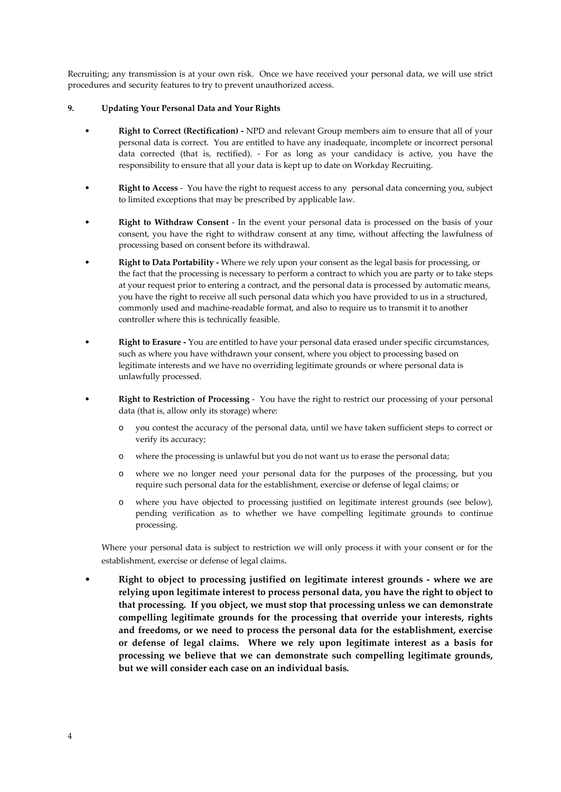Recruiting; any transmission is at your own risk. Once we have received your personal data, we will use strict procedures and security features to try to prevent unauthorized access.

## **9. Updating Your Personal Data and Your Rights**

- **Right to Correct (Rectification) -** NPD and relevant Group members aim to ensure that all of your personal data is correct. You are entitled to have any inadequate, incomplete or incorrect personal data corrected (that is, rectified). - For as long as your candidacy is active, you have the responsibility to ensure that all your data is kept up to date on Workday Recruiting.
- **Right to Access** You have the right to request access to any personal data concerning you, subject to limited exceptions that may be prescribed by applicable law.
- **Right to Withdraw Consent** In the event your personal data is processed on the basis of your consent, you have the right to withdraw consent at any time, without affecting the lawfulness of processing based on consent before its withdrawal.
- **Right to Data Portability -** Where we rely upon your consent as the legal basis for processing, or the fact that the processing is necessary to perform a contract to which you are party or to take steps at your request prior to entering a contract, and the personal data is processed by automatic means, you have the right to receive all such personal data which you have provided to us in a structured, commonly used and machine-readable format, and also to require us to transmit it to another controller where this is technically feasible.
- **Right to Erasure -** You are entitled to have your personal data erased under specific circumstances, such as where you have withdrawn your consent, where you object to processing based on legitimate interests and we have no overriding legitimate grounds or where personal data is unlawfully processed.
- **Right to Restriction of Processing** You have the right to restrict our processing of your personal data (that is, allow only its storage) where:
	- o you contest the accuracy of the personal data, until we have taken sufficient steps to correct or verify its accuracy;
	- o where the processing is unlawful but you do not want us to erase the personal data;
	- o where we no longer need your personal data for the purposes of the processing, but you require such personal data for the establishment, exercise or defense of legal claims; or
	- o where you have objected to processing justified on legitimate interest grounds (see below), pending verification as to whether we have compelling legitimate grounds to continue processing.

Where your personal data is subject to restriction we will only process it with your consent or for the establishment, exercise or defense of legal claims.

• **Right to object to processing justified on legitimate interest grounds - where we are relying upon legitimate interest to process personal data, you have the right to object to that processing. If you object, we must stop that processing unless we can demonstrate compelling legitimate grounds for the processing that override your interests, rights and freedoms, or we need to process the personal data for the establishment, exercise or defense of legal claims. Where we rely upon legitimate interest as a basis for processing we believe that we can demonstrate such compelling legitimate grounds, but we will consider each case on an individual basis.**